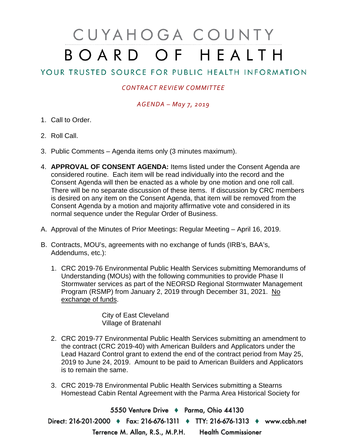# CUYAHOGA COUNTY BOARD OF HEALTH

## YOUR TRUSTED SOURCE FOR PUBLIC HEALTH INFORMATION

### *CONTRACT REVIEW COMMITTEE*

#### *AGENDA – May 7, 2019*

- 1. Call to Order.
- 2. Roll Call.
- 3. Public Comments Agenda items only (3 minutes maximum).
- 4. **APPROVAL OF CONSENT AGENDA:** Items listed under the Consent Agenda are considered routine. Each item will be read individually into the record and the Consent Agenda will then be enacted as a whole by one motion and one roll call. There will be no separate discussion of these items. If discussion by CRC members is desired on any item on the Consent Agenda, that item will be removed from the Consent Agenda by a motion and majority affirmative vote and considered in its normal sequence under the Regular Order of Business.
- A. Approval of the Minutes of Prior Meetings: Regular Meeting April 16, 2019.
- B. Contracts, MOU's, agreements with no exchange of funds (IRB's, BAA's, Addendums, etc.):
	- 1. CRC 2019-76 Environmental Public Health Services submitting Memorandums of Understanding (MOUs) with the following communities to provide Phase II Stormwater services as part of the NEORSD Regional Stormwater Management Program (RSMP) from January 2, 2019 through December 31, 2021. No exchange of funds.

City of East Cleveland Village of Bratenahl

- 2. CRC 2019-77 Environmental Public Health Services submitting an amendment to the contract (CRC 2019-40) with American Builders and Applicators under the Lead Hazard Control grant to extend the end of the contract period from May 25, 2019 to June 24, 2019. Amount to be paid to American Builders and Applicators is to remain the same.
- 3. CRC 2019-78 Environmental Public Health Services submitting a Stearns Homestead Cabin Rental Agreement with the Parma Area Historical Society for

5550 Venture Drive + Parma, Ohio 44130 Direct: 216-201-2000 • Fax: 216-676-1311 • TTY: 216-676-1313 • www.ccbh.net Terrence M. Allan, R.S., M.P.H. Health Commissioner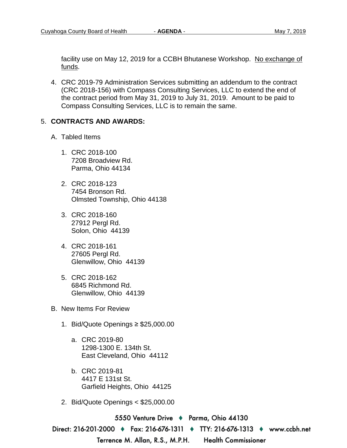facility use on May 12, 2019 for a CCBH Bhutanese Workshop. No exchange of funds.

4. CRC 2019-79 Administration Services submitting an addendum to the contract (CRC 2018-156) with Compass Consulting Services, LLC to extend the end of the contract period from May 31, 2019 to July 31, 2019. Amount to be paid to Compass Consulting Services, LLC is to remain the same.

#### 5. **CONTRACTS AND AWARDS:**

- A. Tabled Items
	- 1. CRC 2018-100 7208 Broadview Rd. Parma, Ohio 44134
	- 2. CRC 2018-123 7454 Bronson Rd. Olmsted Township, Ohio 44138
	- 3. CRC 2018-160 27912 Pergl Rd. Solon, Ohio 44139
	- 4. CRC 2018-161 27605 Pergl Rd. Glenwillow, Ohio 44139
	- 5. CRC 2018-162 6845 Richmond Rd. Glenwillow, Ohio 44139
- B. New Items For Review
	- 1. Bid/Quote Openings ≥ \$25,000.00
		- a. CRC 2019-80 1298-1300 E. 134th St. East Cleveland, Ohio 44112
		- b. CRC 2019-81 4417 E 131st St. Garfield Heights, Ohio 44125
	- 2. Bid/Quote Openings < \$25,000.00

5550 Venture Drive → Parma, Ohio 44130

Direct: 216-201-2000 ♦ Fax: 216-676-1311 ♦ TTY: 216-676-1313 ♦ www.ccbh.net

Terrence M. Allan, R.S., M.P.H.

**Health Commissioner**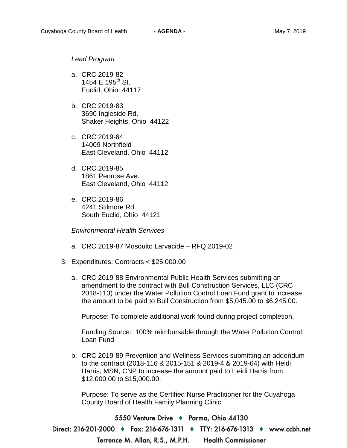*Lead Program* 

- a. CRC 2019-82 1454 E 195<sup>th</sup> St. Euclid, Ohio 44117
- b. CRC 2019-83 3690 Ingleside Rd. Shaker Heights, Ohio 44122
- c. CRC 2019-84 14009 Northfield East Cleveland, Ohio 44112
- d. CRC 2019-85 1861 Penrose Ave. East Cleveland, Ohio 44112
- e. CRC 2019-86 4241 Stilmore Rd. South Euclid, Ohio 44121

*Environmental Health Services* 

- a. CRC 2019-87 Mosquito Larvacide RFQ 2019-02
- 3. Expenditures: Contracts < \$25,000.00
	- a. CRC 2019-88 Environmental Public Health Services submitting an amendment to the contract with Bull Construction Services, LLC (CRC 2018-113) under the Water Pollution Control Loan Fund grant to increase the amount to be paid to Bull Construction from \$5,045.00 to \$6,245.00.

Purpose: To complete additional work found during project completion.

Funding Source: 100% reimbursable through the Water Pollution Control Loan Fund

b. CRC 2019-89 Prevention and Wellness Services submitting an addendum to the contract (2018-116 & 2015-151 & 2019-4 & 2019-64) with Heidi Harris, MSN, CNP to increase the amount paid to Heidi Harris from \$12,000.00 to \$15,000.00.

Purpose: To serve as the Certified Nurse Practitioner for the Cuyahoga County Board of Health Family Planning Clinic.

5550 Venture Drive → Parma, Ohio 44130 Direct: 216-201-2000 ♦ Fax: 216-676-1311 ♦ TTY: 216-676-1313 ♦ www.ccbh.net Terrence M. Allan, R.S., M.P.H. **Health Commissioner**